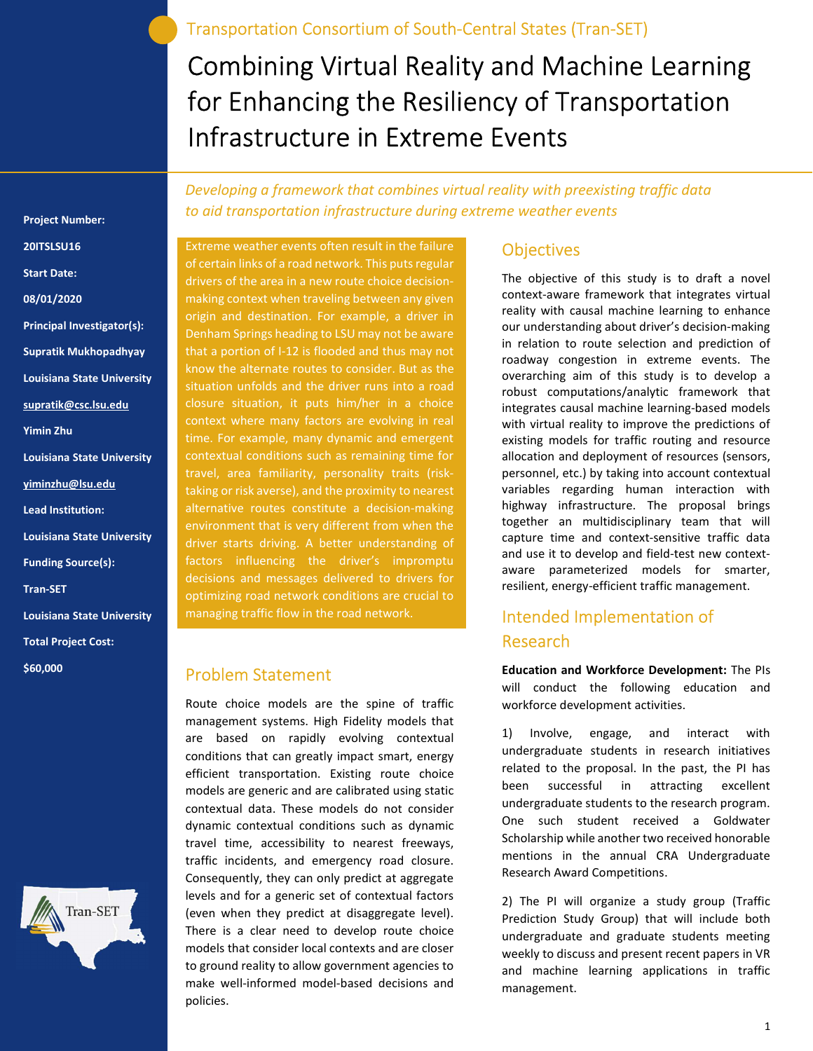Transportation Consortium of South-Central States (Tran-SET)

Combining Virtual Reality and Machine Learning for Enhancing the Resiliency of Transportation Infrastructure in Extreme Events

Developing a framework that combines virtual reality with preexisting traffic data to aid transportation infrastructure during extreme weather events

Extreme weather events often result in the failure of certain links of a road network. This puts regular drivers of the area in a new route choice decisionmaking context when traveling between any given origin and destination. For example, a driver in Denham Springs heading to LSU may not be aware that a portion of I-12 is flooded and thus may not know the alternate routes to consider. But as the situation unfolds and the driver runs into a road closure situation, it puts him/her in a choice context where many factors are evolving in real time. For example, many dynamic and emergent contextual conditions such as remaining time for taking or risk averse), and the proximity to nearest alternative routes constitute a decision-making environment that is very different from when the driver starts driving. A better understanding of factors influencing the driver's impromptu decisions and messages delivered to drivers for optimizing road network conditions are crucial to managing traffic flow in the road network.

#### Problem Statement

Route choice models are the spine of traffic management systems. High Fidelity models that are based on rapidly evolving contextual conditions that can greatly impact smart, energy efficient transportation. Existing route choice models are generic and are calibrated using static contextual data. These models do not consider dynamic contextual conditions such as dynamic travel time, accessibility to nearest freeways, traffic incidents, and emergency road closure. Consequently, they can only predict at aggregate levels and for a generic set of contextual factors (even when they predict at disaggregate level). There is a clear need to develop route choice models that consider local contexts and are closer to ground reality to allow government agencies to make well-informed model-based decisions and policies.

#### **Objectives**

The objective of this study is to draft a novel context-aware framework that integrates virtual reality with causal machine learning to enhance our understanding about driver's decision-making in relation to route selection and prediction of roadway congestion in extreme events. The overarching aim of this study is to develop a robust computations/analytic framework that integrates causal machine learning-based models with virtual reality to improve the predictions of existing models for traffic routing and resource allocation and deployment of resources (sensors, personnel, etc.) by taking into account contextual variables regarding human interaction with highway infrastructure. The proposal brings together an multidisciplinary team that will capture time and context-sensitive traffic data and use it to develop and field-test new contextaware parameterized models for smarter, resilient, energy-efficient traffic management.

## Intended Implementation of Research

Education and Workforce Development: The PIs will conduct the following education and workforce development activities.

1) Involve, engage, and interact with undergraduate students in research initiatives related to the proposal. In the past, the PI has been successful in attracting excellent undergraduate students to the research program. One such student received a Goldwater Scholarship while another two received honorable mentions in the annual CRA Undergraduate Research Award Competitions.

2) The PI will organize a study group (Traffic Prediction Study Group) that will include both undergraduate and graduate students meeting weekly to discuss and present recent papers in VR and machine learning applications in traffic management.

# Start Date: 08/01/2020 Principal Investigator(s): Supratik Mukhopadhyay Louisiana State University supratik@csc.lsu.edu Yimin Zhu Louisiana State University yiminzhu@lsu.edu Lead Institution: Louisiana State University Funding Source(s): Tran-SET Louisiana State University

Project Number:

20ITSLSU16

Total Project Cost:

\$60,000